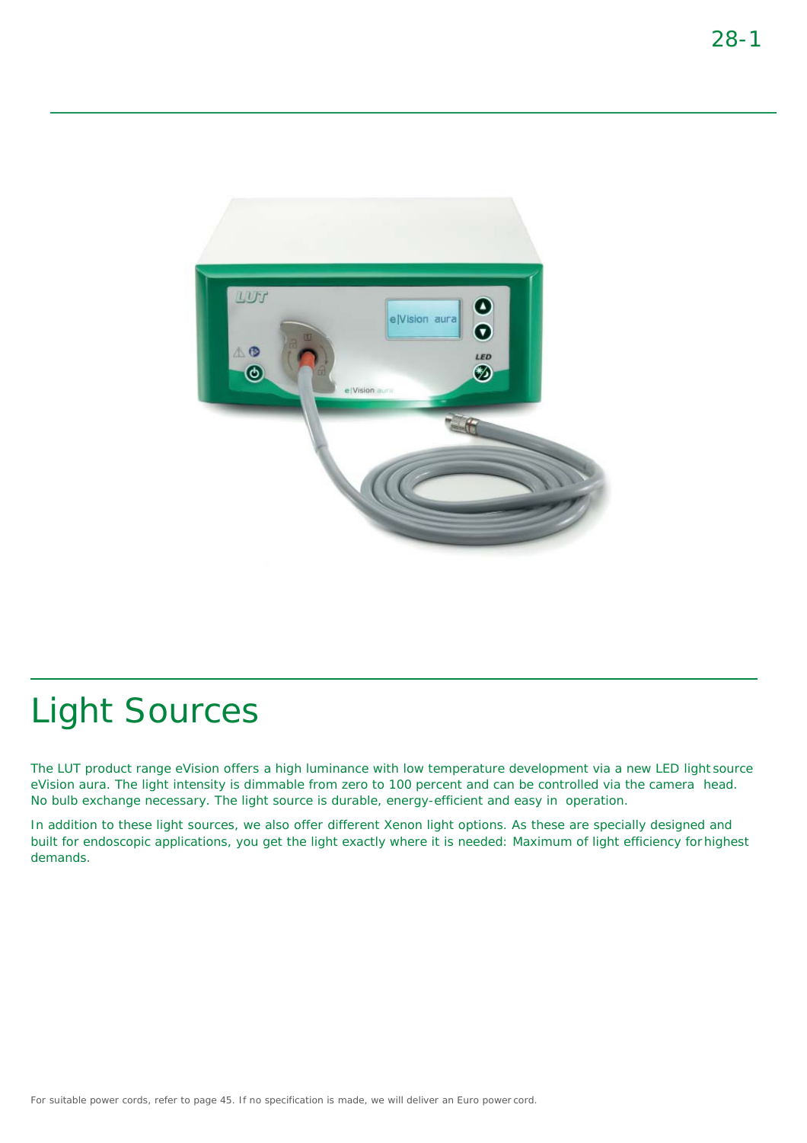

The LUT product range eVision offers a high luminance with low temperature development via a new LED light source eVision aura. The light intensity is dimmable from zero to 100 percent and can be controlled via the camera head. No bulb exchange necessary. The light source is durable, energy-efficient and easy in operation.

In addition to these light sources, we also offer different Xenon light options. As these are specially designed and built for endoscopic applications, you get the light exactly where it is needed: Maximum of light efficiency forhighest demands.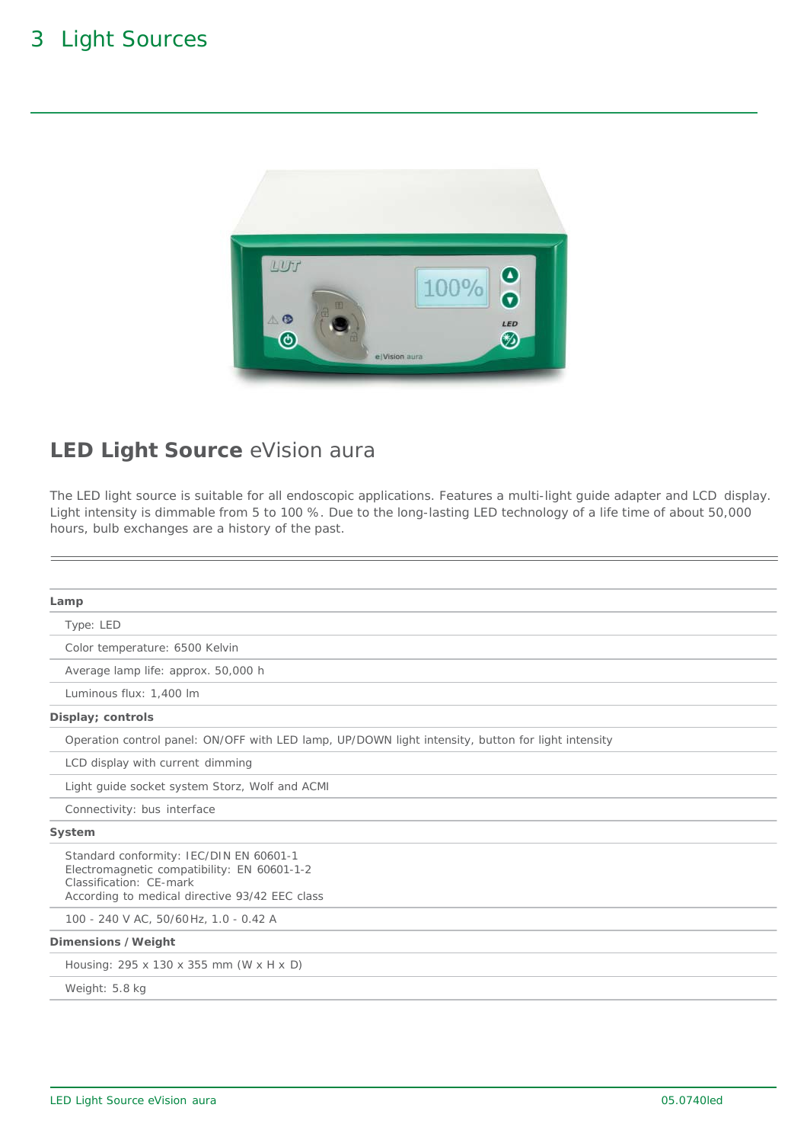

#### **LED Light Source** eVision aura

The LED light source is suitable for all endoscopic applications. Features a multi-light guide adapter and LCD display. Light intensity is dimmable from 5 to 100 %. Due to the long-lasting LED technology of a life time of about 50,000 hours, bulb exchanges are a history of the past.

| Lamp                                                                                                                                                                |
|---------------------------------------------------------------------------------------------------------------------------------------------------------------------|
| Type: LED                                                                                                                                                           |
| Color temperature: 6500 Kelvin                                                                                                                                      |
| Average lamp life: approx. 50,000 h                                                                                                                                 |
| Luminous flux: 1,400 lm                                                                                                                                             |
| Display; controls                                                                                                                                                   |
| Operation control panel: ON/OFF with LED lamp, UP/DOWN light intensity, button for light intensity                                                                  |
| LCD display with current dimming                                                                                                                                    |
| Light quide socket system Storz, Wolf and ACMI                                                                                                                      |
| Connectivity: bus interface                                                                                                                                         |
| System                                                                                                                                                              |
| Standard conformity: IEC/DIN EN 60601-1<br>Electromagnetic compatibility: EN 60601-1-2<br>Classification: CE-mark<br>According to medical directive 93/42 EEC class |
| 100 - 240 V AC, 50/60 Hz, 1.0 - 0.42 A                                                                                                                              |
| Dimensions /Weight                                                                                                                                                  |
| Housing: 295 x 130 x 355 mm (W x H x D)                                                                                                                             |
| Weight: 5.8 kg                                                                                                                                                      |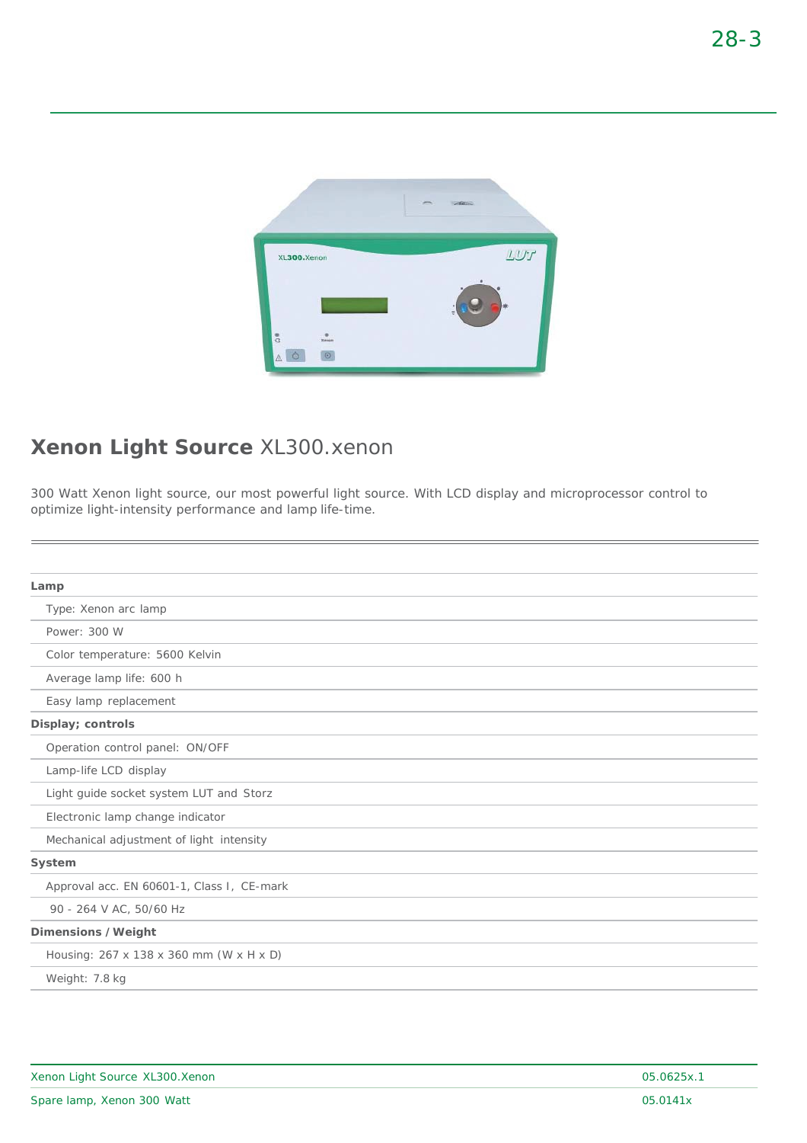

#### **Xenon Light Source** XL300.xenon

300 Watt Xenon light source, our most powerful light source. With LCD display and microprocessor control to optimize light-intensity performance and lamp life-time.

| Lamp                                       |
|--------------------------------------------|
| Type: Xenon arc lamp                       |
| Power: 300 W                               |
| Color temperature: 5600 Kelvin             |
| Average lamp life: 600 h                   |
| Easy lamp replacement                      |
| Display; controls                          |
| Operation control panel: ON/OFF            |
| Lamp-life LCD display                      |
| Light guide socket system LUT and Storz    |
| Electronic lamp change indicator           |
| Mechanical adjustment of light intensity   |
| System                                     |
| Approval acc. EN 60601-1, Class I, CE-mark |
| 90 - 264 V AC, 50/60 Hz                    |
| Dimensions /Weight                         |
| Housing: 267 x 138 x 360 mm (W x H x D)    |
| Weight: 7.8 kg                             |
|                                            |

| Xenon Light Source XL300. Xenon | 05.0625x.1 |
|---------------------------------|------------|
| Spare lamp, Xenon 300 Watt      | 05.0141x   |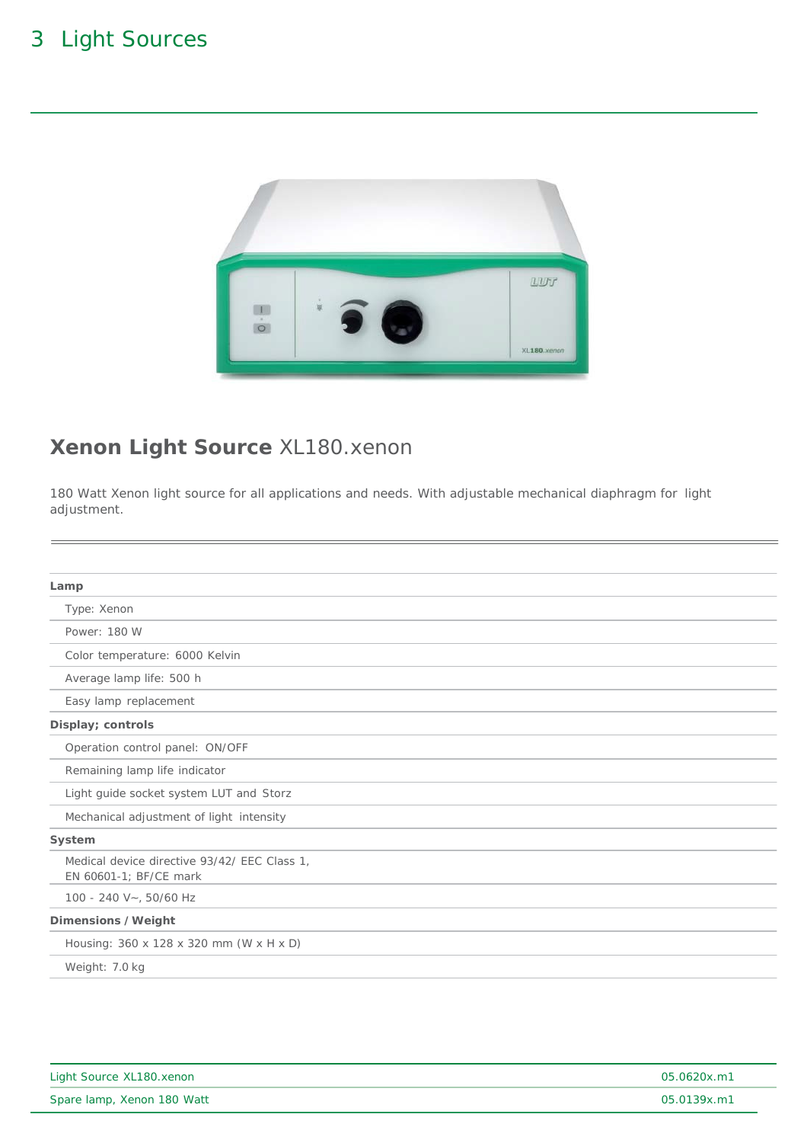

## **Xenon Light Source** XL180.xenon

180 Watt Xenon light source for all applications and needs. With adjustable mechanical diaphragm for light adjustment.

| Lamp                                                                   |
|------------------------------------------------------------------------|
| Type: Xenon                                                            |
| Power: 180 W                                                           |
| Color temperature: 6000 Kelvin                                         |
| Average lamp life: 500 h                                               |
| Easy lamp replacement                                                  |
| Display; controls                                                      |
| Operation control panel: ON/OFF                                        |
| Remaining lamp life indicator                                          |
| Light guide socket system LUT and Storz                                |
| Mechanical adjustment of light intensity                               |
| System                                                                 |
| Medical device directive 93/42/ EEC Class 1.<br>EN 60601-1; BF/CE mark |
| 100 - 240 V~, 50/60 Hz                                                 |
| Dimensions /Weight                                                     |
| Housing: 360 x 128 x 320 mm (W x H x D)                                |
| Weight: 7.0 kg                                                         |
|                                                                        |

| Light Source XL180.xenon   | 05.0620x.m1 |
|----------------------------|-------------|
| Spare lamp, Xenon 180 Watt | 05.0139x.m1 |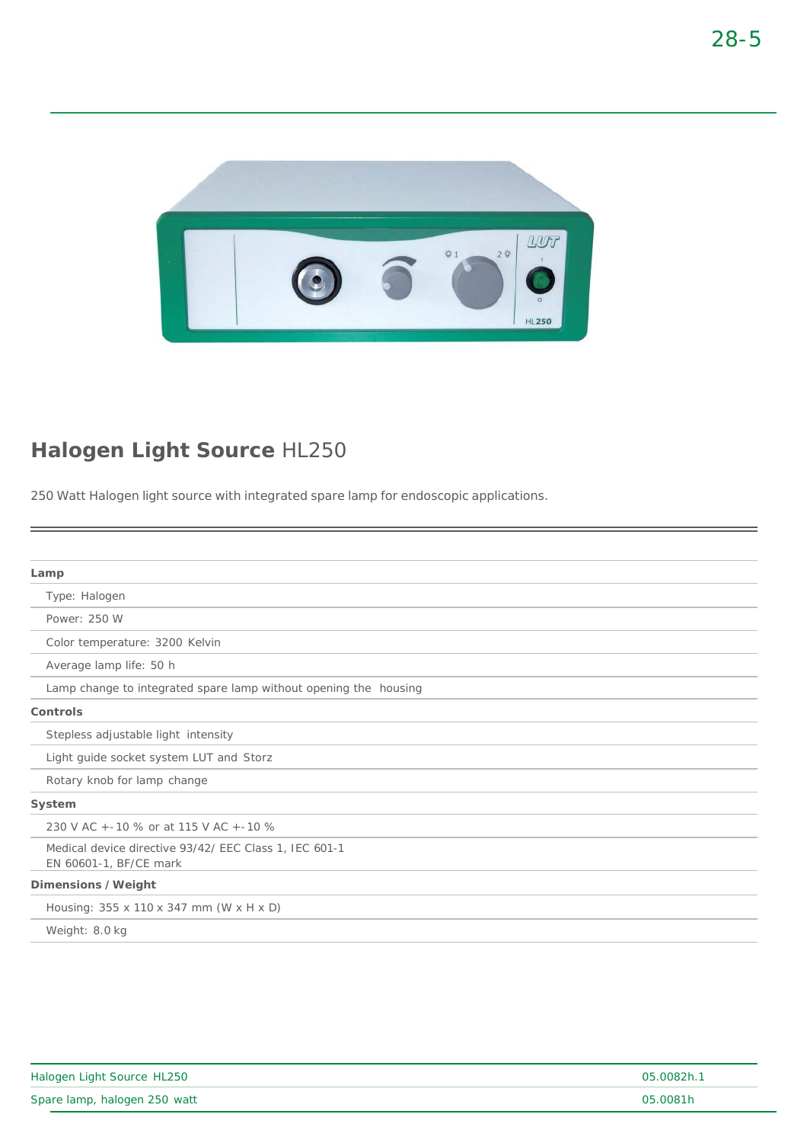

## **Halogen Light Source** HL250

250 Watt Halogen light source with integrated spare lamp for endoscopic applications.

| Lamp                                                                             |
|----------------------------------------------------------------------------------|
| Type: Halogen                                                                    |
| Power: 250 W                                                                     |
| Color temperature: 3200 Kelvin                                                   |
| Average lamp life: 50 h                                                          |
| Lamp change to integrated spare lamp without opening the housing                 |
| Controls                                                                         |
| Stepless adjustable light intensity                                              |
| Light guide socket system LUT and Storz                                          |
| Rotary knob for lamp change                                                      |
| System                                                                           |
| 230 V AC + - 10 % or at 115 V AC + - 10 %                                        |
| Medical device directive 93/42/ EEC Class 1, IEC 601-1<br>EN 60601-1, BF/CE mark |
| Dimensions /Weight                                                               |
| Housing: 355 x 110 x 347 mm (W x H x D)                                          |
| Weight: 8.0 kg                                                                   |
|                                                                                  |

| Halogen Light Source HL250   | 05.0082h.1 |
|------------------------------|------------|
| Spare lamp, halogen 250 watt | 05.0081h   |